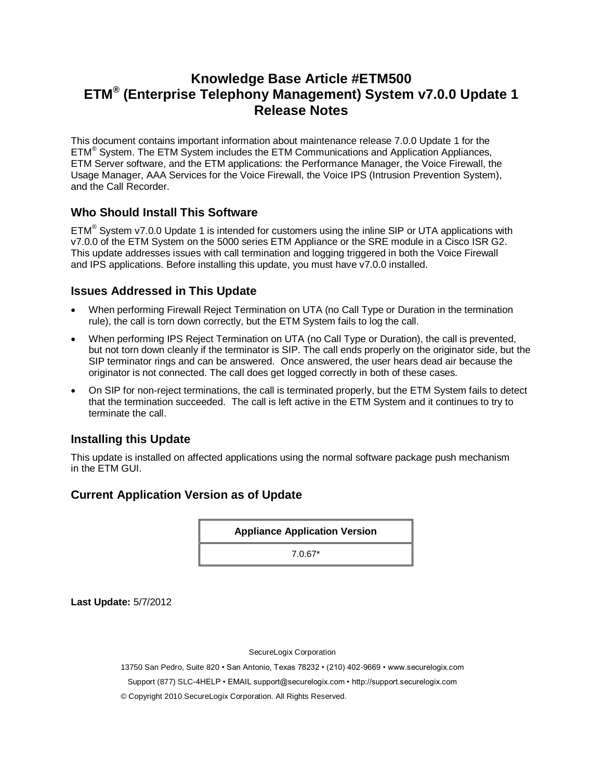# **Knowledge Base Article #ETM500 ETM® (Enterprise Telephony Management) System v7.0.0 Update 1 Release Notes**

This document contains important information about maintenance release 7.0.0 Update 1 for the ETM® System. The ETM System includes the ETM Communications and Application Appliances, ETM Server software, and the ETM applications: the Performance Manager, the Voice Firewall, the Usage Manager, AAA Services for the Voice Firewall, the Voice IPS (Intrusion Prevention System), and the Call Recorder.

### **Who Should Install This Software**

 $ETM<sup>®</sup> System v7.0.0 Update 1 is intended for customers using the inline SIP or UTA applications with$ v7.0.0 of the ETM System on the 5000 series ETM Appliance or the SRE module in a Cisco ISR G2. This update addresses issues with call termination and logging triggered in both the Voice Firewall and IPS applications. Before installing this update, you must have v7.0.0 installed.

#### **Issues Addressed in This Update**

- When performing Firewall Reject Termination on UTA (no Call Type or Duration in the termination rule), the call is torn down correctly, but the ETM System fails to log the call.
- When performing IPS Reject Termination on UTA (no Call Type or Duration), the call is prevented, but not torn down cleanly if the terminator is SIP. The call ends properly on the originator side, but the SIP terminator rings and can be answered. Once answered, the user hears dead air because the originator is not connected. The call does get logged correctly in both of these cases.
- On SIP for non-reject terminations, the call is terminated properly, but the ETM System fails to detect that the termination succeeded. The call is left active in the ETM System and it continues to try to terminate the call.

## **Installing this Update**

This update is installed on affected applications using the normal software package push mechanism in the ETM GUI.

## **Current Application Version as of Update**

**Appliance Application Version**

7.0.67\*

**Last Update:** 5/7/2012

SecureLogix Corporation

13750 San Pedro, Suite 820 • San Antonio, Texas 78232 • (210) 402-9669 • www.securelogix.com

Support (877) SLC-4HELP • EMAIL support@securelogix.com • http://support.securelogix.com

© Copyright 2010 SecureLogix Corporation. All Rights Reserved.